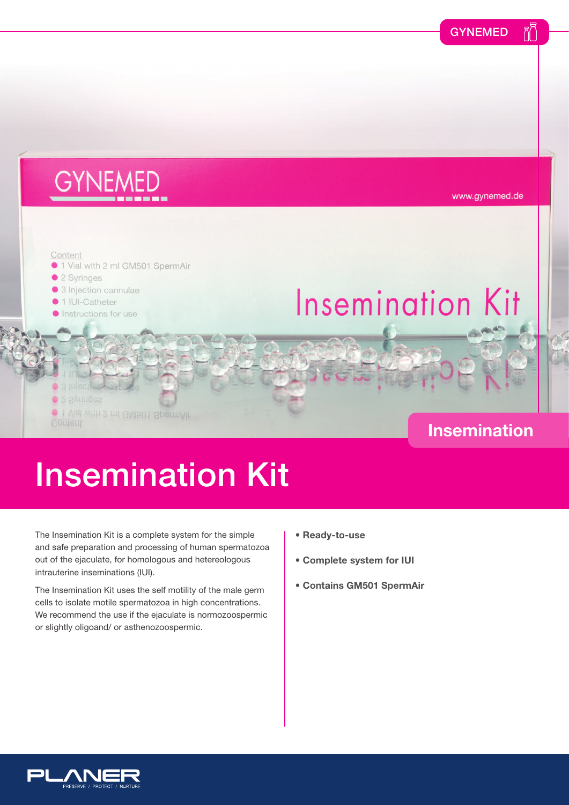

## Insemination Kit

The Insemination Kit is a complete system for the simple and safe preparation and processing of human spermatozoa out of the ejaculate, for homologous and hetereologous intrauterine inseminations (IUI).

The Insemination Kit uses the self motility of the male germ cells to isolate motile spermatozoa in high concentrations. We recommend the use if the ejaculate is normozoospermic or slightly oligoand/ or asthenozoospermic.

- **Ready-to-use**
- **Complete system for IUI**
- **Contains GM501 SpermAir**